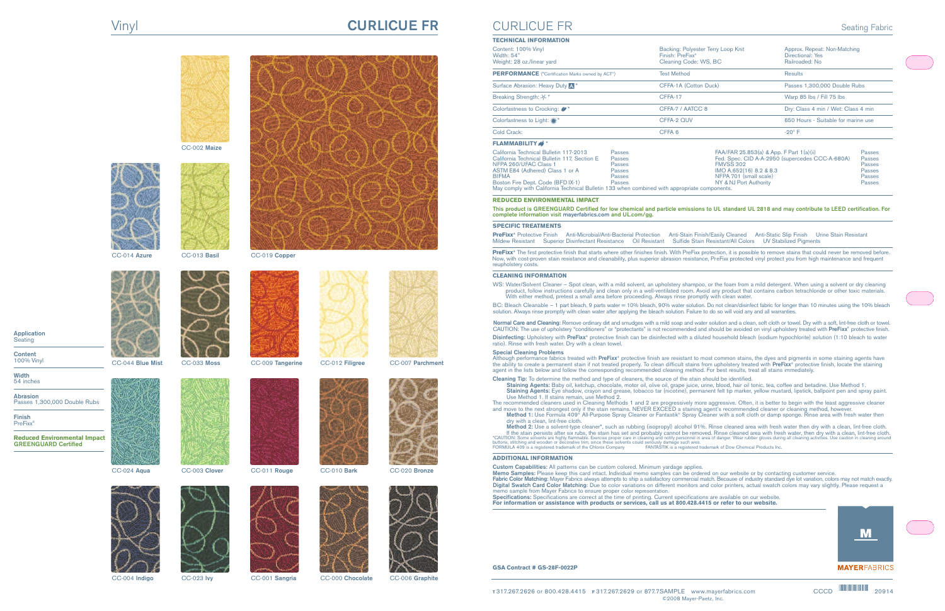# Vinyl **CURLICUE FR**



CC-002 **Maize**







CC-014 **Azure** CC-013 **Basil** CC-019 **Copper**













**Application** Seating

**Content** 100% Vinyl

**Width** 54 inches

**Abrasion** Passes 1,300,000 Double Rubs

**Finish** PreFixx®

**Reduced Environmental Impact GREENGUARD Certified**























CC-004 **Indigo** CC-023 **Ivy** CC-001 **Sangria** CC-000 **Chocolate** CC-006 **Graphite**